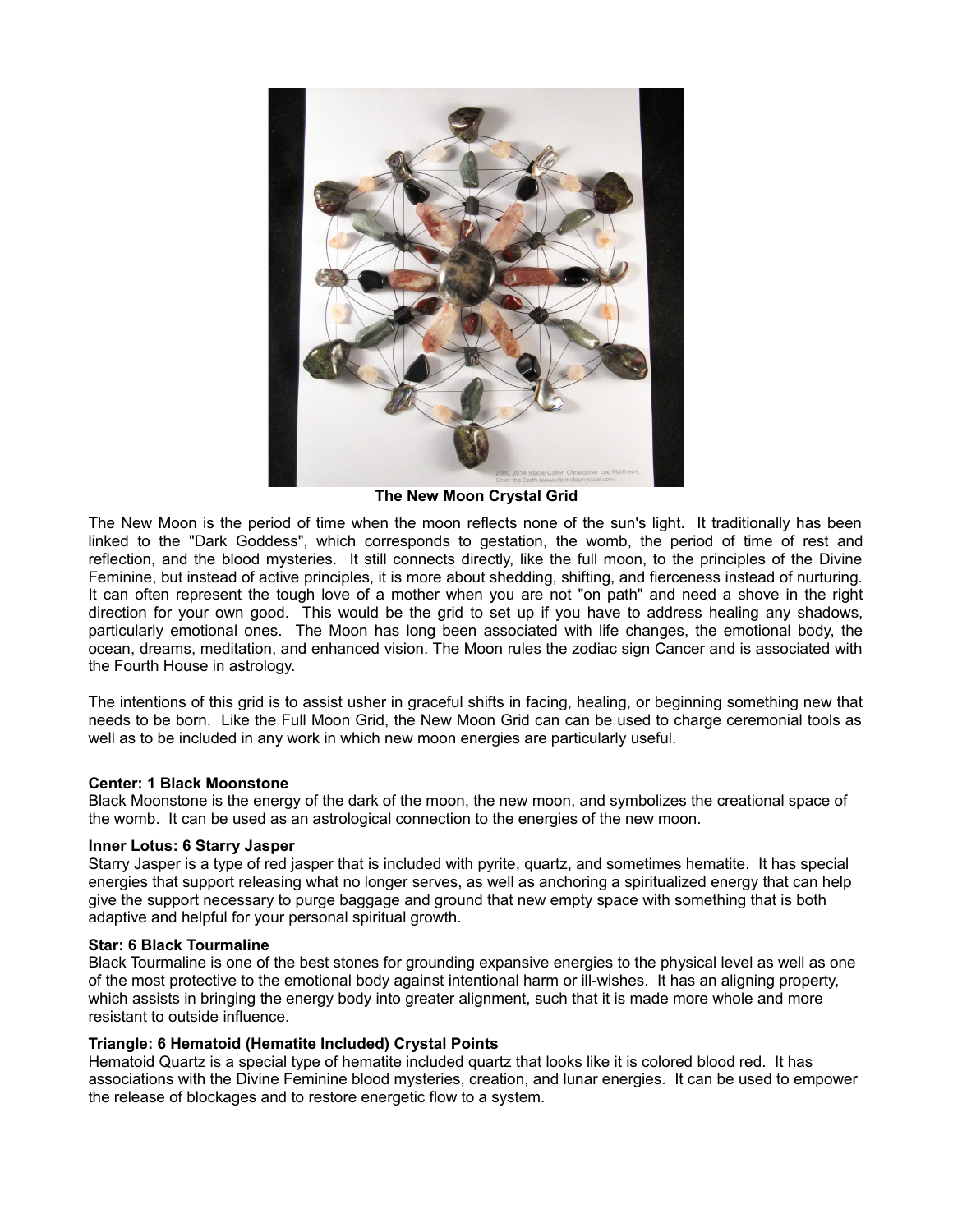

**The New Moon Crystal Grid**

The New Moon is the period of time when the moon reflects none of the sun's light. It traditionally has been linked to the "Dark Goddess", which corresponds to gestation, the womb, the period of time of rest and reflection, and the blood mysteries. It still connects directly, like the full moon, to the principles of the Divine Feminine, but instead of active principles, it is more about shedding, shifting, and fierceness instead of nurturing. It can often represent the tough love of a mother when you are not "on path" and need a shove in the right direction for your own good. This would be the grid to set up if you have to address healing any shadows, particularly emotional ones. The Moon has long been associated with life changes, the emotional body, the ocean, dreams, meditation, and enhanced vision. The Moon rules the zodiac sign Cancer and is associated with the Fourth House in astrology.

The intentions of this grid is to assist usher in graceful shifts in facing, healing, or beginning something new that needs to be born. Like the Full Moon Grid, the New Moon Grid can can be used to charge ceremonial tools as well as to be included in any work in which new moon energies are particularly useful.

### **Center: 1 Black Moonstone**

Black Moonstone is the energy of the dark of the moon, the new moon, and symbolizes the creational space of the womb. It can be used as an astrological connection to the energies of the new moon.

#### **Inner Lotus: 6 Starry Jasper**

Starry Jasper is a type of red jasper that is included with pyrite, quartz, and sometimes hematite. It has special energies that support releasing what no longer serves, as well as anchoring a spiritualized energy that can help give the support necessary to purge baggage and ground that new empty space with something that is both adaptive and helpful for your personal spiritual growth.

#### **Star: 6 Black Tourmaline**

Black Tourmaline is one of the best stones for grounding expansive energies to the physical level as well as one of the most protective to the emotional body against intentional harm or ill-wishes. It has an aligning property, which assists in bringing the energy body into greater alignment, such that it is made more whole and more resistant to outside influence.

#### **Triangle: 6 Hematoid (Hematite Included) Crystal Points**

Hematoid Quartz is a special type of hematite included quartz that looks like it is colored blood red. It has associations with the Divine Feminine blood mysteries, creation, and lunar energies. It can be used to empower the release of blockages and to restore energetic flow to a system.